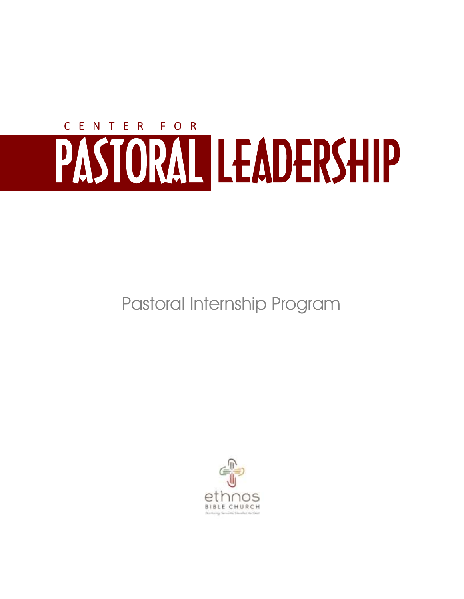# PASTORAL LEADERSHIP C E N T E R F O R

Pastoral Internship Program

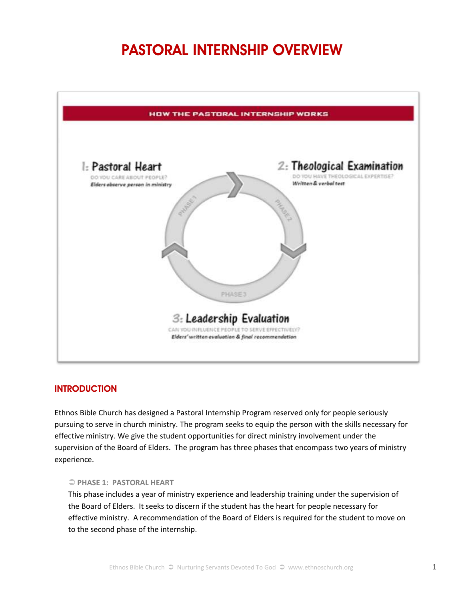# **PASTORAL INTERNSHIP OVERVIEW**



#### **INTRODUCTION**

Ethnos Bible Church has designed a Pastoral Internship Program reserved only for people seriously pursuing to serve in church ministry. The program seeks to equip the person with the skills necessary for effective ministry. We give the student opportunities for direct ministry involvement under the supervision of the Board of Elders. The program has three phases that encompass two years of ministry experience.

#### **PHASE 1: PASTORAL HEART**

This phase includes a year of ministry experience and leadership training under the supervision of the Board of Elders. It seeks to discern if the student has the heart for people necessary for effective ministry. A recommendation of the Board of Elders is required for the student to move on to the second phase of the internship.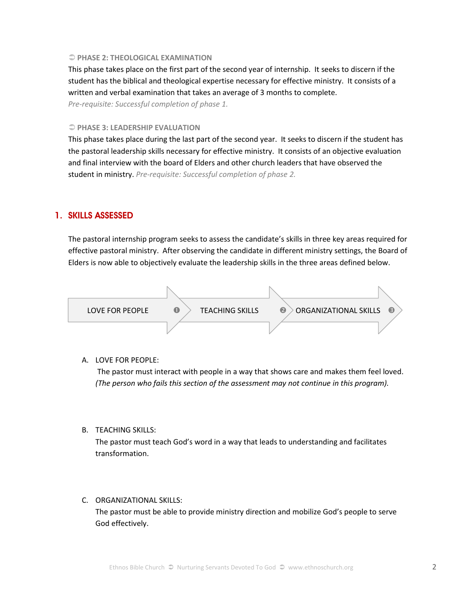#### **PHASE 2: THEOLOGICAL EXAMINATION**

This phase takes place on the first part of the second year of internship. It seeks to discern if the student has the biblical and theological expertise necessary for effective ministry. It consists of a written and verbal examination that takes an average of 3 months to complete.

*Pre-requisite: Successful completion of phase 1.* 

#### **PHASE 3: LEADERSHIP EVALUATION**

This phase takes place during the last part of the second year. It seeks to discern if the student has the pastoral leadership skills necessary for effective ministry. It consists of an objective evaluation and final interview with the board of Elders and other church leaders that have observed the student in ministry. *Pre-requisite: Successful completion of phase 2.* 

#### **1. SKILLS ASSESSED**

The pastoral internship program seeks to assess the candidate's skills in three key areas required for effective pastoral ministry. After observing the candidate in different ministry settings, the Board of Elders is now able to objectively evaluate the leadership skills in the three areas defined below.



#### A. LOVE FOR PEOPLE:

The pastor must interact with people in a way that shows care and makes them feel loved. *(The person who fails this section of the assessment may not continue in this program).* 

#### B. TEACHING SKILLS:

The pastor must teach God's word in a way that leads to understanding and facilitates transformation.

#### C. ORGANIZATIONAL SKILLS:

The pastor must be able to provide ministry direction and mobilize God's people to serve God effectively.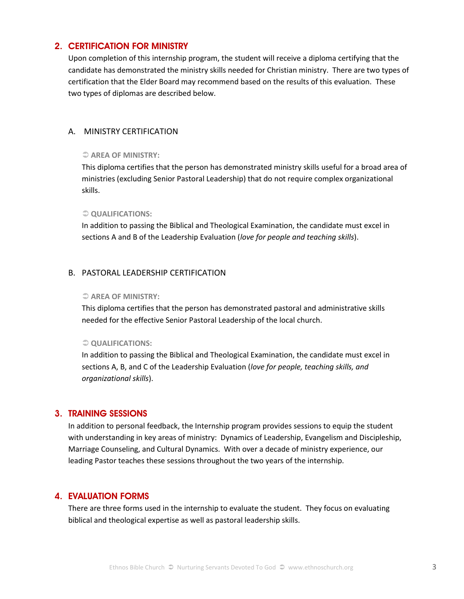#### **2. CERTIFICATION FOR MINISTRY**

Upon completion of this internship program, the student will receive a diploma certifying that the candidate has demonstrated the ministry skills needed for Christian ministry. There are two types of certification that the Elder Board may recommend based on the results of this evaluation. These two types of diplomas are described below.

#### A. MINISTRY CERTIFICATION

#### **AREA OF MINISTRY:**

This diploma certifies that the person has demonstrated ministry skills useful for a broad area of ministries (excluding Senior Pastoral Leadership) that do not require complex organizational skills.

#### $\supset Q$ **UALIFICATIONS:**

In addition to passing the Biblical and Theological Examination, the candidate must excel in sections A and B of the Leadership Evaluation (*love for people and teaching skills*).

#### B. PASTORAL LEADERSHIP CERTIFICATION

#### **AREA OF MINISTRY:**

This diploma certifies that the person has demonstrated pastoral and administrative skills needed for the effective Senior Pastoral Leadership of the local church.

#### $\supset Q$  QUALIFICATIONS:

In addition to passing the Biblical and Theological Examination, the candidate must excel in sections A, B, and C of the Leadership Evaluation (*love for people, teaching skills, and organizational skills*).

#### **3. TRAINING SESSIONS**

In addition to personal feedback, the Internship program provides sessions to equip the student with understanding in key areas of ministry: Dynamics of Leadership, Evangelism and Discipleship, Marriage Counseling, and Cultural Dynamics. With over a decade of ministry experience, our leading Pastor teaches these sessions throughout the two years of the internship.

#### **4. EVALUATION FORMS**

There are three forms used in the internship to evaluate the student. They focus on evaluating biblical and theological expertise as well as pastoral leadership skills.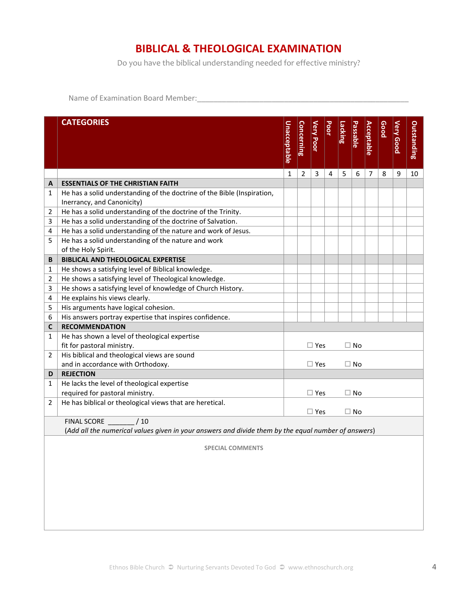### **BIBLICAL & THEOLOGICAL EXAMINATION**

Do you have the biblical understanding needed for effective ministry?

Name of Examination Board Member:\_\_\_\_\_\_\_\_\_\_\_\_\_\_\_\_\_\_\_\_\_\_\_\_\_\_\_\_\_\_\_\_\_\_\_\_\_\_\_\_\_\_\_\_\_\_\_\_\_\_\_

|                | <b>CATEGORIES</b>                                                                                   | <b>Unacceptable</b>        | <b>Concerning</b> | <b>Very Poor</b> | Poor | Lacking | <b>Passable</b> | <b>Acceptable</b> | Good | <b>Very Good</b> | Outstanding |
|----------------|-----------------------------------------------------------------------------------------------------|----------------------------|-------------------|------------------|------|---------|-----------------|-------------------|------|------------------|-------------|
|                |                                                                                                     | 1                          | 2                 | 3                | 4    | 5       | 6               | $\overline{7}$    | 8    | 9                | 10          |
| A              | <b>ESSENTIALS OF THE CHRISTIAN FAITH</b>                                                            |                            |                   |                  |      |         |                 |                   |      |                  |             |
| 1              | He has a solid understanding of the doctrine of the Bible (Inspiration,                             |                            |                   |                  |      |         |                 |                   |      |                  |             |
|                | Inerrancy, and Canonicity)                                                                          |                            |                   |                  |      |         |                 |                   |      |                  |             |
| 2              | He has a solid understanding of the doctrine of the Trinity.                                        |                            |                   |                  |      |         |                 |                   |      |                  |             |
| 3              | He has a solid understanding of the doctrine of Salvation.                                          |                            |                   |                  |      |         |                 |                   |      |                  |             |
| 4              | He has a solid understanding of the nature and work of Jesus.                                       |                            |                   |                  |      |         |                 |                   |      |                  |             |
| 5              | He has a solid understanding of the nature and work                                                 |                            |                   |                  |      |         |                 |                   |      |                  |             |
|                | of the Holy Spirit.                                                                                 |                            |                   |                  |      |         |                 |                   |      |                  |             |
| B              | <b>BIBLICAL AND THEOLOGICAL EXPERTISE</b>                                                           |                            |                   |                  |      |         |                 |                   |      |                  |             |
| 1              | He shows a satisfying level of Biblical knowledge.                                                  |                            |                   |                  |      |         |                 |                   |      |                  |             |
| 2              | He shows a satisfying level of Theological knowledge.                                               |                            |                   |                  |      |         |                 |                   |      |                  |             |
| 3              | He shows a satisfying level of knowledge of Church History.                                         |                            |                   |                  |      |         |                 |                   |      |                  |             |
| 4              | He explains his views clearly.                                                                      |                            |                   |                  |      |         |                 |                   |      |                  |             |
| 5              | His arguments have logical cohesion.                                                                |                            |                   |                  |      |         |                 |                   |      |                  |             |
| 6              | His answers portray expertise that inspires confidence.                                             |                            |                   |                  |      |         |                 |                   |      |                  |             |
| C              | <b>RECOMMENDATION</b>                                                                               |                            |                   |                  |      |         |                 |                   |      |                  |             |
| 1              | He has shown a level of theological expertise                                                       |                            |                   |                  |      |         |                 |                   |      |                  |             |
|                | fit for pastoral ministry.                                                                          |                            |                   | $\square$ Yes    |      |         | $\square$ No    |                   |      |                  |             |
| $\overline{2}$ | His biblical and theological views are sound                                                        |                            |                   |                  |      |         |                 |                   |      |                  |             |
|                | and in accordance with Orthodoxy.                                                                   | $\Box$ Yes<br>$\square$ No |                   |                  |      |         |                 |                   |      |                  |             |
| D              | <b>REJECTION</b>                                                                                    |                            |                   |                  |      |         |                 |                   |      |                  |             |
| 1              | He lacks the level of theological expertise                                                         |                            |                   |                  |      |         |                 |                   |      |                  |             |
|                | required for pastoral ministry.                                                                     |                            |                   | $\square$ Yes    |      |         | $\Box$ No       |                   |      |                  |             |
| 2              | He has biblical or theological views that are heretical.                                            |                            |                   |                  |      |         |                 |                   |      |                  |             |
|                |                                                                                                     |                            |                   | $\Box$ Yes       |      |         | $\Box$ No       |                   |      |                  |             |
|                | /10<br><b>FINAL SCORE</b>                                                                           |                            |                   |                  |      |         |                 |                   |      |                  |             |
|                | (Add all the numerical values given in your answers and divide them by the equal number of answers) |                            |                   |                  |      |         |                 |                   |      |                  |             |
|                | <b>SPECIAL COMMENTS</b>                                                                             |                            |                   |                  |      |         |                 |                   |      |                  |             |
|                |                                                                                                     |                            |                   |                  |      |         |                 |                   |      |                  |             |
|                |                                                                                                     |                            |                   |                  |      |         |                 |                   |      |                  |             |
|                |                                                                                                     |                            |                   |                  |      |         |                 |                   |      |                  |             |
|                |                                                                                                     |                            |                   |                  |      |         |                 |                   |      |                  |             |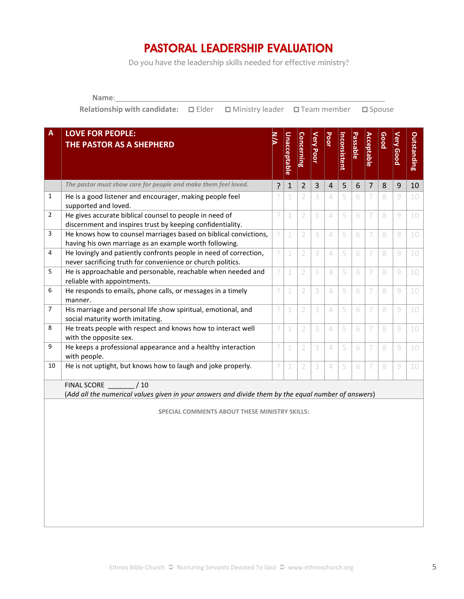## **PASTORAL LEADERSHIP EVALUATION**

Do you have the leadership skills needed for effective ministry?

**Name**:\_\_\_\_\_\_\_\_\_\_\_\_\_\_\_\_\_\_\_\_\_\_\_\_\_\_\_\_\_\_\_\_\_\_\_\_\_\_\_\_\_\_\_\_\_\_\_\_\_\_\_\_\_\_\_\_\_\_\_\_\_\_\_\_\_

**Relationship with candidate:** □ Elder □ Ministry leader □ Team member □ Spouse

| $\overline{A}$ | <b>LOVE FOR PEOPLE:</b><br>THE PASTOR AS A SHEPHERD                                                                              | ξ | <b>Unacceptable</b> | <b>Concerning</b> | <b>Very Poor</b> | Poor           | Inconsistent | <b>Passable</b> | <b>Acceptable</b> | <b>Good</b> | <b>Very Good</b> | <b>Outstanding</b> |
|----------------|----------------------------------------------------------------------------------------------------------------------------------|---|---------------------|-------------------|------------------|----------------|--------------|-----------------|-------------------|-------------|------------------|--------------------|
|                |                                                                                                                                  |   |                     |                   |                  |                |              |                 |                   |             |                  |                    |
|                | The pastor must show care for people and make them feel loved.                                                                   | ? | $\mathbf{1}$        | $\overline{2}$    | $\overline{3}$   | $\overline{4}$ | 5            | 6               | $\overline{7}$    | 8           | 9                | 10                 |
| $\mathbf{1}$   | He is a good listener and encourager, making people feel<br>supported and loved.                                                 | P | 1                   | 2                 | 3                | 4              | 5            | 6               | 7                 | 8           | $\mathcal G$     | 10                 |
| $\overline{2}$ | He gives accurate biblical counsel to people in need of<br>discernment and inspires trust by keeping confidentiality.            | ĥ | 1                   | $\overline{2}$    | 3                | $\Delta$       | 5            | 6               | 7                 | 8           | 9                | 10                 |
| 3              | He knows how to counsel marriages based on biblical convictions,                                                                 | P | 1                   | $\overline{2}$    | 3                | $\Delta$       | 5            | 6               | 7                 | 8           | 9                | 10                 |
|                | having his own marriage as an example worth following.                                                                           |   |                     |                   |                  |                |              |                 |                   |             |                  |                    |
| 4              | He lovingly and patiently confronts people in need of correction,                                                                | ŗ | 1                   | $\overline{2}$    | 3                | 4              | 5            | 6               | 7                 | 8           | 9                | 10                 |
|                | never sacrificing truth for convenience or church politics.                                                                      |   |                     |                   |                  |                |              |                 |                   |             |                  |                    |
| 5              | He is approachable and personable, reachable when needed and<br>reliable with appointments.                                      | P | 1                   | 2                 | 3                | $\Delta$       | 5            | 6               | 7                 | 8           | 9                | 10                 |
| 6              | He responds to emails, phone calls, or messages in a timely<br>manner.                                                           | ĥ | 1                   | $\overline{2}$    | 3                | $\Delta$       | 5            | 6               | 7                 | 8           | 9                | 10                 |
| $\overline{7}$ | His marriage and personal life show spiritual, emotional, and<br>social maturity worth imitating.                                | ŗ | $\mathbf 1$         | $\overline{2}$    | 3                | 4              | 5            | 6               | 7                 | 8           | $\mathcal G$     | 10                 |
| 8              | He treats people with respect and knows how to interact well<br>with the opposite sex.                                           | P | 1                   | $\overline{2}$    | 3                | $\triangle$    | 5            | 6               | 7                 | 8           | 9                | 10                 |
| 9              | He keeps a professional appearance and a healthy interaction<br>with people.                                                     | P | $\mathbf 1$         | $\overline{2}$    | 3                | 4              | 5            | 6               | 7                 | 8           | 9                | 10                 |
| 10             | He is not uptight, but knows how to laugh and joke properly.                                                                     | ŗ | $\mathbf 1$         | $\overline{2}$    | 3                | 4              | 5            | 6               | 7                 | 8           | $\mathcal G$     | 10                 |
|                | <b>FINAL SCORE</b><br>/10<br>(Add all the numerical values given in your answers and divide them by the equal number of answers) |   |                     |                   |                  |                |              |                 |                   |             |                  |                    |
|                |                                                                                                                                  |   |                     |                   |                  |                |              |                 |                   |             |                  |                    |
|                | <b>SPECIAL COMMENTS ABOUT THESE MINISTRY SKILLS:</b>                                                                             |   |                     |                   |                  |                |              |                 |                   |             |                  |                    |
|                |                                                                                                                                  |   |                     |                   |                  |                |              |                 |                   |             |                  |                    |
|                |                                                                                                                                  |   |                     |                   |                  |                |              |                 |                   |             |                  |                    |
|                |                                                                                                                                  |   |                     |                   |                  |                |              |                 |                   |             |                  |                    |
|                |                                                                                                                                  |   |                     |                   |                  |                |              |                 |                   |             |                  |                    |
|                |                                                                                                                                  |   |                     |                   |                  |                |              |                 |                   |             |                  |                    |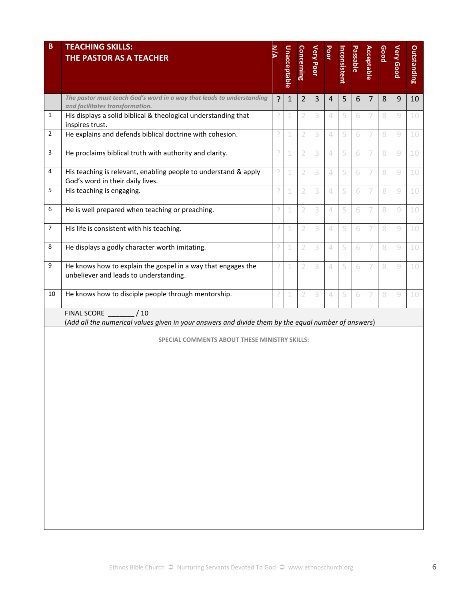| B              | <b>TEACHING SKILLS:</b><br>THE PASTOR AS A TEACHER                                                                                                                                | ž | <b>Unacceptable</b> | Concerning     | <b>Very Poor</b> | Poor                     | Inconsistent | <b>Passable</b> | <b>Acceptable</b> | Good | <b>Very Good</b> | Outstanding |
|----------------|-----------------------------------------------------------------------------------------------------------------------------------------------------------------------------------|---|---------------------|----------------|------------------|--------------------------|--------------|-----------------|-------------------|------|------------------|-------------|
|                | The pastor must teach God's word in a way that leads to understanding<br>and facilitates transformation.                                                                          | ? | $\mathbf 1$         | $\overline{2}$ | 3                | $\overline{4}$           | 5            | 6               | $\overline{7}$    | 8    | 9                | 10          |
| 1              | His displays a solid biblical & theological understanding that<br>inspires trust.                                                                                                 | P | 1                   | 2              | 3                | $\overline{4}$           | 5            | 6               |                   | 8    | 9                | 10          |
| $\overline{2}$ | He explains and defends biblical doctrine with cohesion.                                                                                                                          | ŗ | 1                   | $\overline{2}$ | 3                | $\Delta$                 | 5            | 6               | 7                 | 8    | $\mathcal G$     | 10          |
| 3              | He proclaims biblical truth with authority and clarity.                                                                                                                           | P | 1                   | 2              | 3                | $\triangle$              | 5            | 6               | 7                 | 8    | $\mathcal G$     | 10          |
| 4              | His teaching is relevant, enabling people to understand & apply<br>God's word in their daily lives.                                                                               | ŗ | 1                   | 2              | 3                | $\overline{4}$           | 5            | 6               | 7                 | 8    | $\mathcal G$     | 10          |
| 5              | His teaching is engaging.                                                                                                                                                         | ŗ | 1                   | 2              | 3                | $\angle$                 | 5            | 6               | 7                 | 8    | 9                | 10          |
| 6              | He is well prepared when teaching or preaching.                                                                                                                                   | ŗ | 1                   | $\overline{2}$ | 3                | $\overline{\mathcal{A}}$ | 5            | 6               | 7                 | 8    | $\mathcal G$     | 10          |
| $\overline{7}$ | His life is consistent with his teaching.                                                                                                                                         | ŗ | 1                   | $\overline{2}$ | 3                | $\Delta$                 | 5            | 6               | 7                 | 8    | $\mathcal G$     | 10          |
| 8              | He displays a godly character worth imitating.                                                                                                                                    | ŗ | 1                   | 2              | 3                | 4                        | 5            | 6               | 7                 | 8    | 9                | 10          |
| 9              | He knows how to explain the gospel in a way that engages the<br>unbeliever and leads to understanding.                                                                            | ŗ | 1                   | 2              | 3                | $\overline{\mathcal{A}}$ | 5            | 6               | 7                 | 8    | $\mathcal G$     | 10          |
| 10             | He knows how to disciple people through mentorship.                                                                                                                               | P | 1                   | $\overline{2}$ | 3                | $\Delta$                 | 5            | 6               | 7                 | 8    | $\mathcal G$     | 10          |
|                | <b>FINAL SCORE</b><br>/10<br>(Add all the numerical values given in your answers and divide them by the equal number of answers)<br>SPECIAL COMMENTS ABOUT THESE MINISTRY SKILLS: |   |                     |                |                  |                          |              |                 |                   |      |                  |             |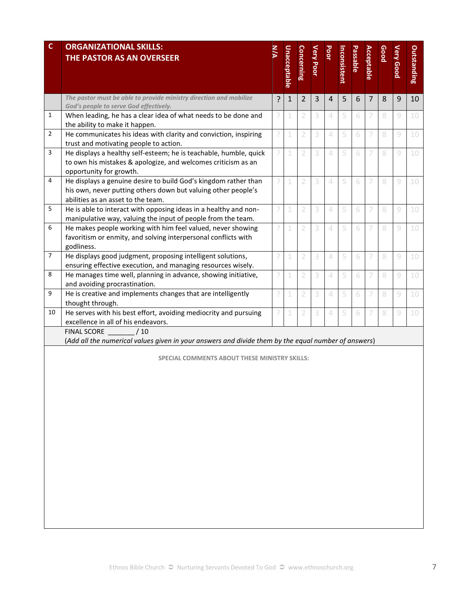| C  | <b>ORGANIZATIONAL SKILLS:</b><br>THE PASTOR AS AN OVERSEER                                                                       |   | <b>Unacceptable</b> | <b>Concerning</b> | Very Poor | Poor     | Inconsistent | Passable | <b>Acceptable</b> | <b>Good</b> | <b>Very Good</b> | <b>Outstanding</b> |
|----|----------------------------------------------------------------------------------------------------------------------------------|---|---------------------|-------------------|-----------|----------|--------------|----------|-------------------|-------------|------------------|--------------------|
|    | The pastor must be able to provide ministry direction and mobilize                                                               | ? | $\mathbf{1}$        | 2                 | 3         | 4        | 5            | 6        | 7                 | 8           | 9                | 10                 |
| 1  | God's people to serve God effectively.<br>When leading, he has a clear idea of what needs to be done and                         | ŗ |                     | 2                 | 3         | $\Delta$ | 5            | 6        |                   | 8           | 9                | 10                 |
|    | the ability to make it happen.                                                                                                   |   |                     |                   |           |          |              |          |                   |             |                  |                    |
| 2  | He communicates his ideas with clarity and conviction, inspiring                                                                 | P | 1                   | 2                 | 3         | $\Delta$ | 5            | 6        |                   | 8           | 9                | 10                 |
|    | trust and motivating people to action.                                                                                           |   |                     |                   |           |          |              |          |                   |             |                  |                    |
| 3  | He displays a healthy self-esteem; he is teachable, humble, quick                                                                | P | 1                   | 2                 | 3         | $\Delta$ | 5            | 6        | 7                 | 8           | 9                | 10                 |
|    | to own his mistakes & apologize, and welcomes criticism as an                                                                    |   |                     |                   |           |          |              |          |                   |             |                  |                    |
| 4  | opportunity for growth.                                                                                                          |   |                     |                   |           |          |              |          |                   |             |                  |                    |
|    | He displays a genuine desire to build God's kingdom rather than<br>his own, never putting others down but valuing other people's | ŗ | 1                   | 2                 | 3         | $\Delta$ | 5            | 6        |                   | 8           | 9                | 10                 |
|    | abilities as an asset to the team.                                                                                               |   |                     |                   |           |          |              |          |                   |             |                  |                    |
| 5  | He is able to interact with opposing ideas in a healthy and non-                                                                 | 9 | 1                   | 2                 | 3         | $\Delta$ | 5            | 6        | 7                 | 8           | 9                | 10                 |
|    | manipulative way, valuing the input of people from the team.                                                                     |   |                     |                   |           |          |              |          |                   |             |                  |                    |
| 6  | He makes people working with him feel valued, never showing                                                                      | P | 1                   | 2                 | 3         | $\Delta$ | 5            | 6        |                   | 8           | 9                | 10                 |
|    | favoritism or enmity, and solving interpersonal conflicts with                                                                   |   |                     |                   |           |          |              |          |                   |             |                  |                    |
|    | godliness.                                                                                                                       |   |                     |                   |           |          |              |          |                   |             |                  |                    |
| 7  | He displays good judgment, proposing intelligent solutions,                                                                      | ŗ | 1                   | 2                 | 3         | $\Delta$ | 5            | 6        |                   | 8           | 9                | 10                 |
|    | ensuring effective execution, and managing resources wisely.                                                                     |   |                     |                   |           |          |              |          |                   |             |                  |                    |
| 8  | He manages time well, planning in advance, showing initiative,                                                                   | P | 1                   | 2                 | 3         | $\Delta$ | 5            | 6        | 7                 | 8           | 9                | 10                 |
| 9  | and avoiding procrastination.                                                                                                    |   |                     |                   |           |          |              |          |                   |             |                  |                    |
|    | He is creative and implements changes that are intelligently<br>thought through.                                                 | ŗ | 1                   | 2                 | 3         | $\Delta$ | 5            | 6        | 7                 | 8           | 9                | 10                 |
| 10 | He serves with his best effort, avoiding mediocrity and pursuing                                                                 | P | 1                   | 2                 | 3         | $\Delta$ | 5            | 6        |                   | 8           | 9                | 10                 |
|    | excellence in all of his endeavors.                                                                                              |   |                     |                   |           |          |              |          |                   |             |                  |                    |
|    | <b>FINAL SCORE</b><br>/10                                                                                                        |   |                     |                   |           |          |              |          |                   |             |                  |                    |
|    | (Add all the numerical values given in your answers and divide them by the equal number of answers)                              |   |                     |                   |           |          |              |          |                   |             |                  |                    |
|    | SPECIAL COMMENTS ABOUT THESE MINISTRY SKILLS:                                                                                    |   |                     |                   |           |          |              |          |                   |             |                  |                    |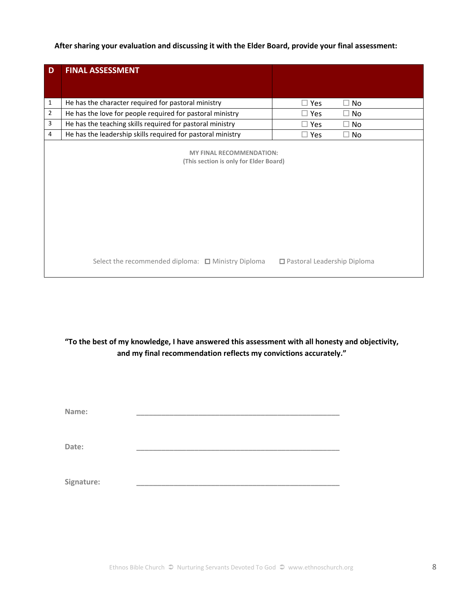**After sharing your evaluation and discussing it with the Elder Board, provide your final assessment:** 

| D              | <b>FINAL ASSESSMENT</b>                                                   |                               |         |
|----------------|---------------------------------------------------------------------------|-------------------------------|---------|
|                |                                                                           |                               |         |
| $\mathbf{1}$   | He has the character required for pastoral ministry                       | $\square$ Yes                 | No<br>П |
| $\overline{2}$ | He has the love for people required for pastoral ministry                 | $\square$ Yes                 | No<br>н |
| 3              | He has the teaching skills required for pastoral ministry                 | $\square$ Yes                 | No<br>н |
| 4              | He has the leadership skills required for pastoral ministry               | $\square$ Yes                 | No<br>П |
|                | <b>MY FINAL RECOMMENDATION:</b><br>(This section is only for Elder Board) |                               |         |
|                | Select the recommended diploma: $\Box$ Ministry Diploma                   | □ Pastoral Leadership Diploma |         |

**"To the best of my knowledge, I have answered this assessment with all honesty and objectivity, and my final recommendation reflects my convictions accurately."**

| Name:      |  |
|------------|--|
| Date:      |  |
| Signature: |  |